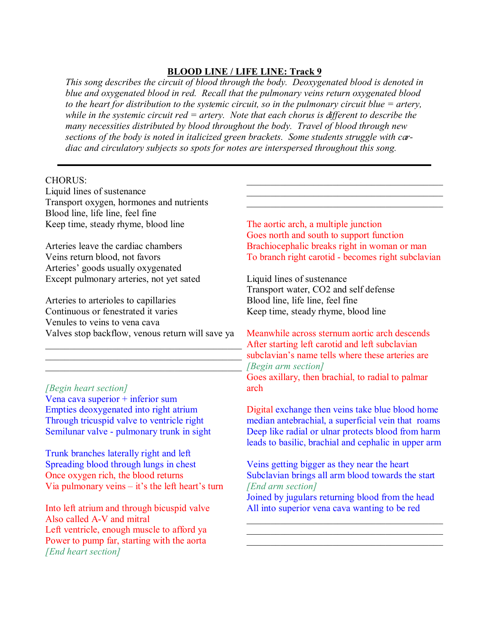## **BLOOD LINE / LIFE LINE: Track 9**

*This song describes the circuit of blood through the body. Deoxygenated blood is denoted in blue and oxygenated blood in red. Recall that the pulmonary veins return oxygenated blood to the heart for distribution to the systemic circuit, so in the pulmonary circuit blue = artery, while in the systemic circuit red = artery. Note that each chorus is different to describe the many necessities distributed by blood throughout the body. Travel of blood through new sections of the body is noted in italicized green brackets. Some students struggle with cardiac and circulatory subjects so spots for notes are interspersed throughout this song.*

## CHORUS: Liquid lines of sustenance

Transport oxygen, hormones and nutrients Blood line, life line, feel fine Keep time, steady rhyme, blood line

Arteries leave the cardiac chambers Veins return blood, not favors Arteries' goods usually oxygenated Except pulmonary arteries, not yet sated

Arteries to arterioles to capillaries Continuous or fenestrated it varies Venules to veins to vena cava Valves stop backflow, venous return will save ya

*[Begin heart section]* Vena cava superior + inferior sum Empties deoxygenated into right atrium Through tricuspid valve to ventricle right Semilunar valve - pulmonary trunk in sight

Trunk branches laterally right and left Spreading blood through lungs in chest Once oxygen rich, the blood returns Via pulmonary veins – it's the left heart's turn

Into left atrium and through bicuspid valve Also called A-V and mitral Left ventricle, enough muscle to afford ya Power to pump far, starting with the aorta *[End heart section]*

The aortic arch, a multiple junction Goes north and south to support function Brachiocephalic breaks right in woman or man To branch right carotid - becomes right subclavian

 $\mathcal{L}_\mathcal{L}$  , which is a set of the set of the set of the set of the set of the set of the set of the set of the set of the set of the set of the set of the set of the set of the set of the set of the set of the set of  $\mathcal{L}_\mathcal{L}$  , which is a set of the set of the set of the set of the set of the set of the set of the set of the set of the set of the set of the set of the set of the set of the set of the set of the set of the set of  $\mathcal{L}_\mathcal{L}$  , which is a set of the set of the set of the set of the set of the set of the set of the set of the set of the set of the set of the set of the set of the set of the set of the set of the set of the set of

Liquid lines of sustenance Transport water, CO2 and self defense Blood line, life line, feel fine Keep time, steady rhyme, blood line

 $\overline{\text{Aff}}$ \_\_\_\_\_\_\_\_\_\_\_\_\_\_\_\_\_\_\_\_\_\_\_\_\_\_\_\_\_\_\_\_\_\_\_\_\_\_\_\_\_  $\Box$ Meanwhile across sternum aortic arch descends After starting left carotid and left subclavian subclavian's name tells where these arteries are *[Begin arm section]* Goes axillary, then brachial, to radial to palmar arch

> Digital exchange then veins take blue blood home median antebrachial, a superficial vein that roams Deep like radial or ulnar protects blood from harm leads to basilic, brachial and cephalic in upper arm

Veins getting bigger as they near the heart Subclavian brings all arm blood towards the start *[End arm section]* Joined by jugulars returning blood from the head

All into superior vena cava wanting to be red

 $\mathcal{L}_\mathcal{L}$  , which is a set of the set of the set of the set of the set of the set of the set of the set of the set of the set of the set of the set of the set of the set of the set of the set of the set of the set of  $\mathcal{L}_\mathcal{L}$  , which is a set of the set of the set of the set of the set of the set of the set of the set of the set of the set of the set of the set of the set of the set of the set of the set of the set of the set of  $\_$  . The contribution of the contribution of  $\mathcal{L}_\mathcal{A}$